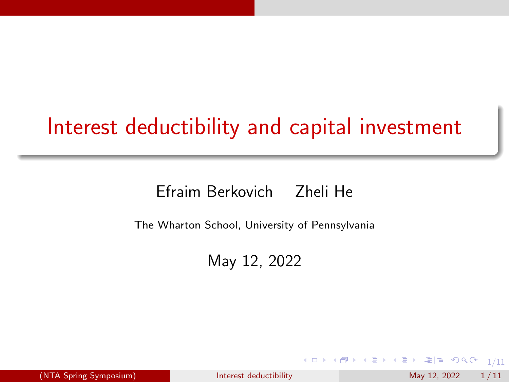# <span id="page-0-0"></span>Interest deductibility and capital investment

#### Efraim Berkovich Zheli He

The Wharton School, University of Pennsylvania

May 12, 2022

(NTA Spring Symposium) **[Interest deductibility](#page-18-0)** May 12, 2022 1/11

(ロ) ( d )

K E K E E DRO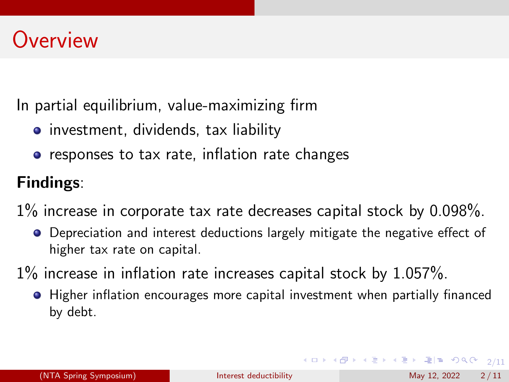# Overview

In partial equilibrium, value-maximizing firm

- investment, dividends, tax liability
- responses to tax rate, inflation rate changes

#### Findings:

1% increase in corporate tax rate decreases capital stock by 0.098%.

- Depreciation and interest deductions largely mitigate the negative effect of higher tax rate on capital.
- 1% increase in inflation rate increases capital stock by 1.057%.
	- **•** Higher inflation encourages more capital investment when partially financed by debt.

(ロ) (伊) (평) (현) (현) 평)= 990 2/11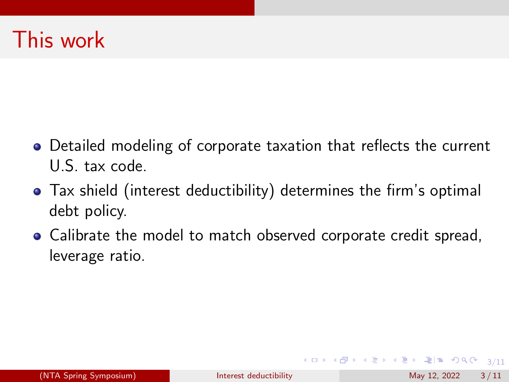# This work

- Detailed modeling of corporate taxation that reflects the current U.S. tax code.
- Tax shield (interest deductibility) determines the firm's optimal debt policy.
- Calibrate the model to match observed corporate credit spread, leverage ratio.

**←ロ ▶ ← 伊 ▶** 

제품 ▶ 제품 ▶ (품)님 ⊙Q ⊙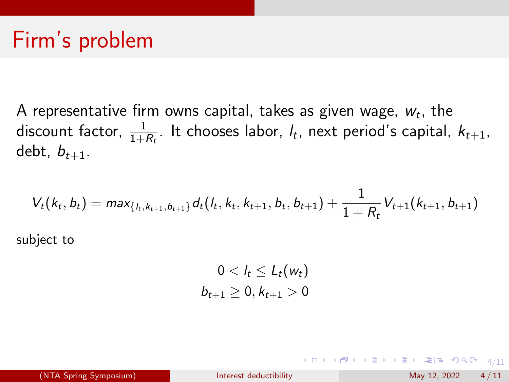A representative firm owns capital, takes as given wage,  $w_t$ , the discount factor,  $\frac{1}{1+R_t}$ . It chooses labor,  $l_t$ , next period's capital,  $k_{t+1}$ , debt,  $b_{t+1}$ .

$$
V_t(k_t, b_t) = \max_{\{l_t, k_{t+1}, b_{t+1}\}} d_t(l_t, k_t, k_{t+1}, b_t, b_{t+1}) + \frac{1}{1 + R_t} V_{t+1}(k_{t+1}, b_{t+1})
$$

subject to

 $0 < I_t \leq L_t(w_t)$  $b_{t+1} > 0, k_{t+1} > 0$ 

(NTA Spring Symposium) **[Interest deductibility](#page-0-0)** May 12, 2022 4/11

(ロ) (個) (ミ) (ミ) (ミ) 의대 990 4/11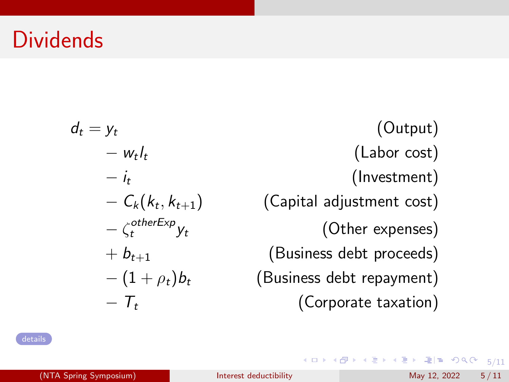## <span id="page-4-0"></span>**Dividends**

$$
t_{t} = y_{t}
$$
  
\n
$$
- w_{t} l_{t}
$$
  
\n
$$
- l_{t}
$$
  
\n
$$
- C_{k} (k_{t}, k_{t+1})
$$
  
\n
$$
- \zeta_{t}^{otherExp} y_{t}
$$
  
\n
$$
+ b_{t+1}
$$
  
\n
$$
- (1 + \rho_{t}) b_{t}
$$
  
\n
$$
- T_{t}
$$

 $d_t = y_t$  (Output)  $(Labor cost)$ (Investment) ) (Capital adjustment cost) (Other expenses) (Business debt proceeds) (Business debt repayment) (Corporate taxation)

letails

K ロ > K 個 > K ミ > K ミ > ミ = の Q Q Q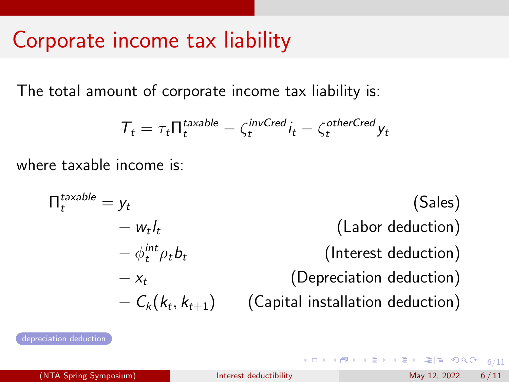# Corporate income tax liability

<span id="page-5-0"></span>The total amount of corporate income tax liability is:

$$
T_t = \tau_t \Pi_t^{\text{taxable}} - \zeta_t^{\text{invCred}} i_t - \zeta_t^{\text{otherCred}} y_t
$$

where taxable income is:

$$
\Pi_t^{taxable} = y_t
$$
 (Sales)  
\n
$$
- w_t l_t
$$
 (Labor deduction)  
\n
$$
- \phi_t^{int} \rho_t b_t
$$
 (Interest deduction)  
\n
$$
- x_t
$$
 (Depreciation deduction)  
\n
$$
- C_k(k_t, k_{t+1})
$$
 (Capital installation deduction)

[depreciation deduction](#page-20-0)

K ロ ▶ K 個 ▶ K ヨ ▶ K ヨ ▶ [로] ≥ 19 Q @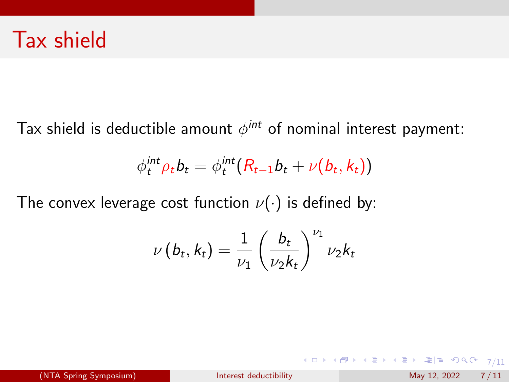## <span id="page-6-0"></span>Tax shield

Tax shield is deductible amount  $\phi^\mathsf{int}$  of nominal interest payment:

$$
\phi_t^{int} \rho_t b_t = \phi_t^{int} (R_{t-1}b_t + \nu(b_t, k_t))
$$

The convex leverage cost function  $\nu(\cdot)$  is defined by:

$$
\nu(b_t, k_t) = \frac{1}{\nu_1} \left( \frac{b_t}{\nu_2 k_t} \right)^{\nu_1} \nu_2 k_t
$$

4 ロ → 4 個 → 4 월 → 4 월 → 월 ⊨ → 9 Q ⊙ - 7/11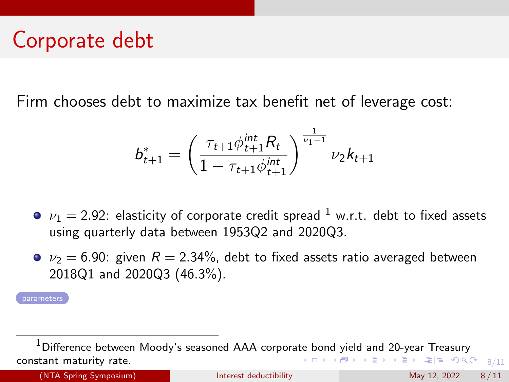# <span id="page-7-0"></span>Corporate debt

<span id="page-7-1"></span>Firm chooses debt to maximize tax benefit net of leverage cost:

$$
b_{t+1}^* = \left(\frac{\tau_{t+1} \phi_{t+1}^{int} R_t}{1 - \tau_{t+1} \phi_{t+1}^{int}}\right)^{\frac{1}{\nu_1 - 1}} \nu_2 k_{t+1}
$$

- $\nu_1 = 2.92$ : elasticity of corporate credit spread <sup>1</sup> w.r.t. debt to fixed assets using quarterly data between 1953Q2 and 2020Q3.
- $\nu_2 = 6.90$ : given  $R = 2.34\%$ , debt to fixed assets ratio averaged between 2018Q1 and 2020Q3 (46.3%).

 $^{\rm 1}$  $^{\rm 1}$  $^{\rm 1}$ Difference between Moody's seasoned AAA corpora[te](#page-6-0) b[on](#page-8-0)[d](#page-6-0) [yie](#page-7-0)[ld](#page-8-0) [a](#page-0-0)[nd](#page-18-0) [20-](#page-0-0)[y](#page-18-0)[ea](#page-19-1)[r](#page-0-0) [T](#page-18-0)[r](#page-19-1)[eas](#page-27-0)ury K ロ ▶ K @ ▶ K 결 ▶ K 결 ▶ [필]일 (9) Q @ . constant maturity rate. 8/11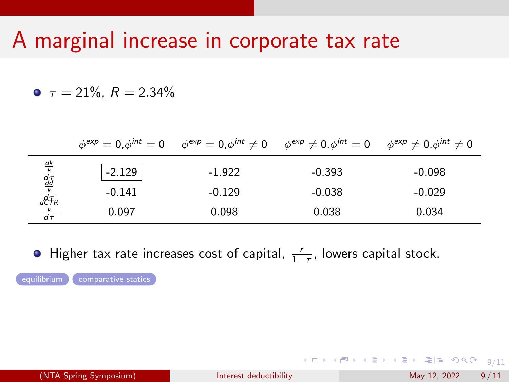<span id="page-8-0"></span>• 
$$
\tau = 21\%
$$
,  $R = 2.34\%$ 

<span id="page-8-1"></span>

|                                                                                                                       |          | $\phi^{\text{exp}} = 0$ , $\phi^{\text{int}} = 0$ $\phi^{\text{exp}} = 0$ , $\phi^{\text{int}} \neq 0$ $\phi^{\text{exp}} \neq 0$ , $\phi^{\text{int}} = 0$ $\phi^{\text{exp}} \neq 0$ , $\phi^{\text{int}} \neq 0$ |          |          |
|-----------------------------------------------------------------------------------------------------------------------|----------|---------------------------------------------------------------------------------------------------------------------------------------------------------------------------------------------------------------------|----------|----------|
| $\begin{array}{l}\frac{dk}{k}\\ \frac{d\tau}{d\tau}\\ \frac{d\tau}{k}\\ \frac{dCTR}{k}\\ \frac{k}{d\tau} \end{array}$ | $-2.129$ | $-1.922$                                                                                                                                                                                                            | $-0.393$ | $-0.098$ |
|                                                                                                                       | $-0.141$ | $-0.129$                                                                                                                                                                                                            | $-0.038$ | $-0.029$ |
|                                                                                                                       | 0.097    | 0.098                                                                                                                                                                                                               | 0.038    | 0.034    |
|                                                                                                                       |          |                                                                                                                                                                                                                     |          |          |

Higher tax rate increases cost of capital,  $\frac{r}{1-\tau}$ , lowers capital stock.

 $equilibrium$  [comparative statics](#page-24-0)

4 ロ → 4 @ → 4 로 → 4 로 → 로(로) 9/40 ( 9/11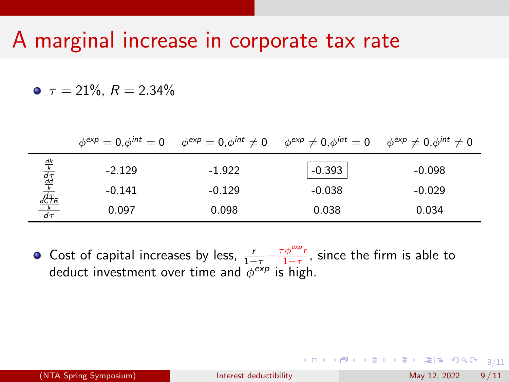• 
$$
\tau = 21\%
$$
,  $R = 2.34\%$ 

|                                                                                                                  |          | $\phi^{\text{exp}} = 0$ , $\phi^{\text{int}} = 0$ $\phi^{\text{exp}} = 0$ , $\phi^{\text{int}} \neq 0$ $\phi^{\text{exp}} \neq 0$ , $\phi^{\text{int}} = 0$ $\phi^{\text{exp}} \neq 0$ , $\phi^{\text{int}} \neq 0$ |            |          |
|------------------------------------------------------------------------------------------------------------------|----------|---------------------------------------------------------------------------------------------------------------------------------------------------------------------------------------------------------------------|------------|----------|
| $\begin{array}{c}\n\frac{dk}{k} \\ \frac{d\tau}{d\tau} \\ \frac{d\zeta}{k} \\ \frac{d\zeta}{d\tau}\n\end{array}$ | $-2.129$ | $-1.922$                                                                                                                                                                                                            | $ -0.393 $ | $-0.098$ |
|                                                                                                                  | $-0.141$ | $-0.129$                                                                                                                                                                                                            | $-0.038$   | $-0.029$ |
|                                                                                                                  | 0.097    | 0.098                                                                                                                                                                                                               | 0.038      | 0.034    |

Cost of capital increases by less,  $\frac{r}{1-\tau} - \frac{\tau \phi^{\infty} r}{1-\tau}$ , since the firm is able to deduct investment over time and  $\phi^{\text{exp}}$  is high.

4 ロ → 4 @ ▶ 4 로 ▶ 4 로 ▶ \_로 ⊨ ⊙ 9.90 - 9/11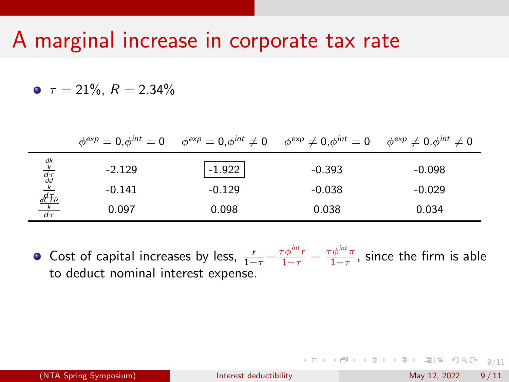• 
$$
\tau = 21\%
$$
,  $R = 2.34\%$ 

|                                                                                                                                      |          | $\phi^{\text{exp}} = 0$ , $\phi^{\text{int}} = 0$ $\phi^{\text{exp}} = 0$ , $\phi^{\text{int}} \neq 0$ $\phi^{\text{exp}} \neq 0$ , $\phi^{\text{int}} = 0$ $\phi^{\text{exp}} \neq 0$ , $\phi^{\text{int}} \neq 0$ |          |          |
|--------------------------------------------------------------------------------------------------------------------------------------|----------|---------------------------------------------------------------------------------------------------------------------------------------------------------------------------------------------------------------------|----------|----------|
| $\begin{array}{r}\n\frac{dk}{k} \\ \frac{d\tau}{d\tau} \\ \frac{d\zeta}{k} \\ \frac{d\zeta}{k} \\ \frac{d\zeta}{d\tau}\n\end{array}$ | $-2.129$ | $-1.922$                                                                                                                                                                                                            | $-0.393$ | $-0.098$ |
|                                                                                                                                      | $-0.141$ | $-0.129$                                                                                                                                                                                                            | $-0.038$ | $-0.029$ |
|                                                                                                                                      | 0.097    | 0.098                                                                                                                                                                                                               | 0.038    | 0.034    |

Cost of capital increases by less,  $\frac{r}{1-\tau} - \frac{\tau \phi^{int}}{1-\tau} - \frac{\tau \phi^{int}}{1-\tau}$ , since the firm is able to deduct nominal interest expense.

4 ロ → 4 @ ▶ 4 로 ▶ 4 로 ▶ \_로 ⊨ ⊙ 9.90 - 9/11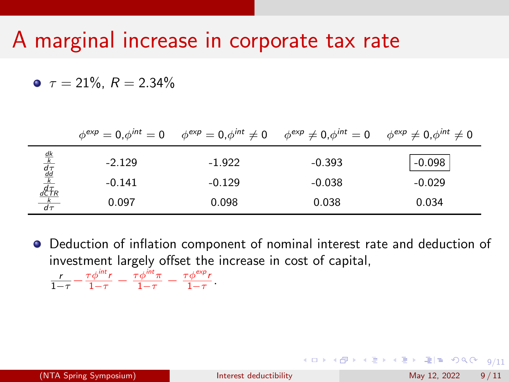$\bullet \tau = 21\%$ ,  $R = 2.34\%$ 

|                                                                                                                  |          | $\phi^{\text{exp}} = 0$ , $\phi^{\text{int}} = 0$ $\phi^{\text{exp}} = 0$ , $\phi^{\text{int}} \neq 0$ $\phi^{\text{exp}} \neq 0$ , $\phi^{\text{int}} = 0$ $\phi^{\text{exp}} \neq 0$ , $\phi^{\text{int}} \neq 0$ |          |          |
|------------------------------------------------------------------------------------------------------------------|----------|---------------------------------------------------------------------------------------------------------------------------------------------------------------------------------------------------------------------|----------|----------|
| $\begin{array}{c}\n\frac{dk}{k} \\ \frac{d\tau}{d\tau} \\ \frac{d\zeta}{k} \\ \frac{d\zeta}{d\tau}\n\end{array}$ | $-2.129$ | $-1.922$                                                                                                                                                                                                            | $-0.393$ | $-0.098$ |
|                                                                                                                  | $-0.141$ | $-0.129$                                                                                                                                                                                                            | $-0.038$ | $-0.029$ |
|                                                                                                                  | 0.097    | 0.098                                                                                                                                                                                                               | 0.038    | 0.034    |

Deduction of inflation component of nominal interest rate and deduction of investment largely offset the increase in cost of capital,

 $\frac{r}{1-\tau}-\frac{\tau\phi^{int}r}{1-\tau}=\frac{\tau\phi^{int}\pi}{1-\tau}-\frac{\tau\phi^{exp}r}{1-\tau}.$ 

4 ロ → 4 @ → 4 로 → 4 로 → 로(로) 9/40 ( 9/11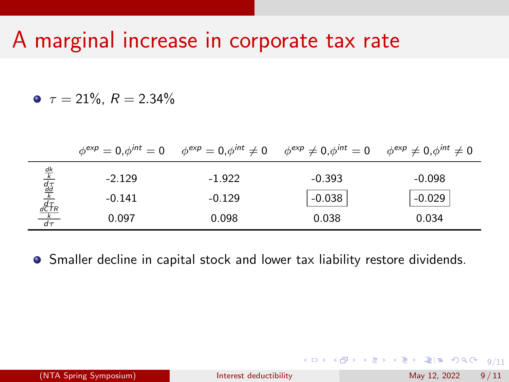• 
$$
\tau = 21\%
$$
,  $R = 2.34\%$ 

|                                                                                                                |          | $\phi^{\text{exp}} = 0$ , $\phi^{\text{int}} = 0$ $\phi^{\text{exp}} = 0$ , $\phi^{\text{int}} \neq 0$ $\phi^{\text{exp}} \neq 0$ , $\phi^{\text{int}} = 0$ $\phi^{\text{exp}} \neq 0$ , $\phi^{\text{int}} \neq 0$ |          |          |
|----------------------------------------------------------------------------------------------------------------|----------|---------------------------------------------------------------------------------------------------------------------------------------------------------------------------------------------------------------------|----------|----------|
| $\begin{array}{c}\n\frac{dk}{k} \\ \frac{d\tau}{d\tau} \\ \frac{d\tau}{k} \\ \frac{d\tau}{d\tau}\n\end{array}$ | $-2.129$ | $-1.922$                                                                                                                                                                                                            | $-0.393$ | $-0.098$ |
|                                                                                                                | $-0.141$ | $-0.129$                                                                                                                                                                                                            | $-0.038$ | $-0.029$ |
|                                                                                                                | 0.097    | 0.098                                                                                                                                                                                                               | 0.038    | 0.034    |

**•** Smaller decline in capital stock and lower tax liability restore dividends.

(NTA Spring Symposium) and [Interest deductibility](#page-0-0) May 12, 2022 9/11

K ロ > K 個 > K ミ > K ミ > ミ = の Q Q Q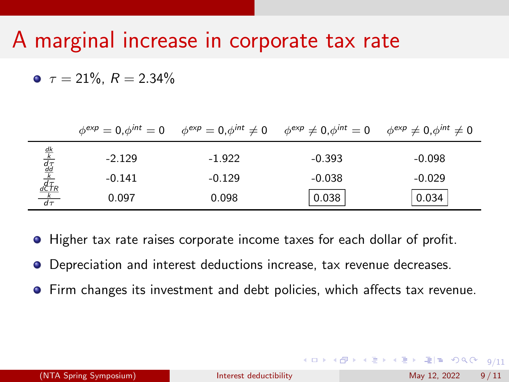$\bullet \tau = 21\%$ ,  $R = 2.34\%$ 

|                                                                                                                                      |          | $\phi^{\text{exp}} = 0$ , $\phi^{\text{int}} = 0$ $\phi^{\text{exp}} = 0$ , $\phi^{\text{int}} \neq 0$ $\phi^{\text{exp}} \neq 0$ , $\phi^{\text{int}} = 0$ $\phi^{\text{exp}} \neq 0$ , $\phi^{\text{int}} \neq 0$ |          |          |
|--------------------------------------------------------------------------------------------------------------------------------------|----------|---------------------------------------------------------------------------------------------------------------------------------------------------------------------------------------------------------------------|----------|----------|
| $\begin{array}{l}\n\frac{dk}{k} \\ \frac{d\tau}{d\tau} \\ \frac{d\zeta}{k} \\ \frac{d\zeta}{k} \\ \frac{d\zeta}{d\tau}\n\end{array}$ | $-2.129$ | $-1.922$                                                                                                                                                                                                            | $-0.393$ | $-0.098$ |
|                                                                                                                                      | $-0.141$ | $-0.129$                                                                                                                                                                                                            | $-0.038$ | $-0.029$ |
|                                                                                                                                      | 0.097    | 0.098                                                                                                                                                                                                               | 0.038    | 0.034    |

- Higher tax rate raises corporate income taxes for each dollar of profit.
- Depreciation and interest deductions increase, tax revenue decreases.  $\bullet$
- **•** Firm changes its investment and debt policies, which affects tax revenue.

KIT KARA KE KE KE ER YOON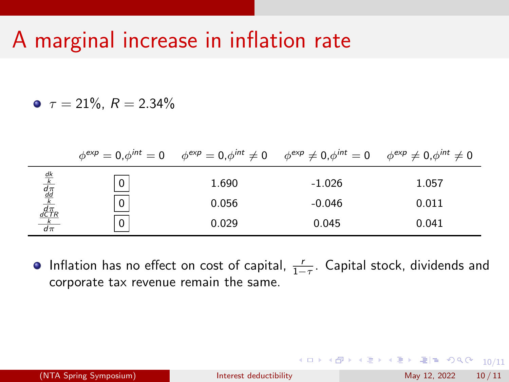# A marginal increase in inflation rate

 $\bullet$   $\tau = 21\%$ ,  $R = 2.34\%$ 

|                                                                                                                             |             | $\phi^{\text{exp}} = 0$ , $\phi^{\text{int}} = 0$ $\phi^{\text{exp}} = 0$ , $\phi^{\text{int}} \neq 0$ $\phi^{\text{exp}} \neq 0$ , $\phi^{\text{int}} = 0$ $\phi^{\text{exp}} \neq 0$ , $\phi^{\text{int}} \neq 0$ |          |       |
|-----------------------------------------------------------------------------------------------------------------------------|-------------|---------------------------------------------------------------------------------------------------------------------------------------------------------------------------------------------------------------------|----------|-------|
| $\begin{array}{r}\n\frac{dk}{k} \\ \frac{d\pi}{d\pi} \\ \frac{d\pi}{k} \\ \frac{d\pi}{k} \\ \frac{d\pi}{d\pi}\n\end{array}$ | $\mathbf 0$ | 1.690                                                                                                                                                                                                               | $-1.026$ | 1.057 |
|                                                                                                                             | 0           | 0.056                                                                                                                                                                                                               | $-0.046$ | 0.011 |
|                                                                                                                             | 0           | 0.029                                                                                                                                                                                                               | 0.045    | 0.041 |

Inflation has no effect on cost of capital,  $\frac{r}{1-\tau}$ . Capital stock, dividends and corporate tax revenue remain the same.

K ロ K K @ K K 로 K K 로 K 코 H S Y Q O .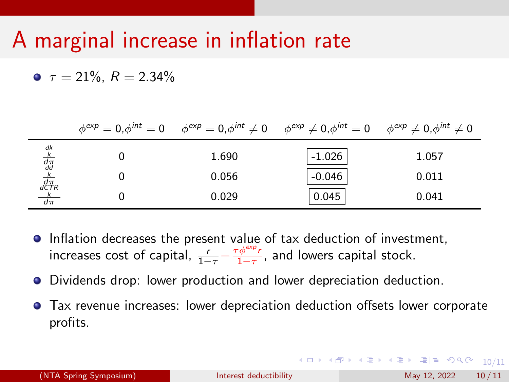## A marginal increase in inflation rate

 $\bullet \tau = 21\%$ ,  $R = 2.34\%$ 

|                                                                                                           | $\phi^{\text{exp}} = 0$ , $\phi^{\text{int}} = 0$ $\phi^{\text{exp}} = 0$ , $\phi^{\text{int}} \neq 0$ $\phi^{\text{exp}} \neq 0$ , $\phi^{\text{int}} = 0$ $\phi^{\text{exp}} \neq 0$ , $\phi^{\text{int}} \neq 0$ |          |       |
|-----------------------------------------------------------------------------------------------------------|---------------------------------------------------------------------------------------------------------------------------------------------------------------------------------------------------------------------|----------|-------|
| $\begin{array}{r}\n\frac{dk}{k} \\ \frac{d\pi}{d\pi} \\ \frac{dGTR}{k} \\ \frac{dGTR}{d\pi}\n\end{array}$ | 1.690                                                                                                                                                                                                               | $-1.026$ | 1.057 |
|                                                                                                           | 0.056                                                                                                                                                                                                               | $-0.046$ | 0.011 |
|                                                                                                           | 0.029                                                                                                                                                                                                               | 0.045    | 0.041 |

- **Inflation decreases the present value of tax deduction of investment,** increases cost of capital,  $\frac{r}{1-\tau} - \frac{\tau \phi^{\exp} r}{1-\tau}$ , and lowers capital stock.
- Dividends drop: lower production and lower depreciation deduction.
- Tax revenue increases: lower depreciation deduction offsets lower corporate profits.

K ロ K K @ K K ミ K K ミ K ミ 트 H H Y Q Q Y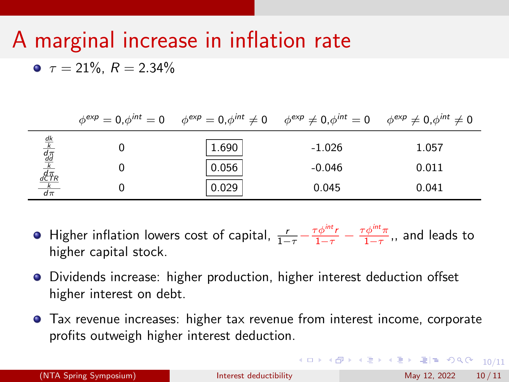# A marginal increase in inflation rate

 $\bullet$   $\tau = 21\%$ ,  $R = 2.34\%$ 

|                                                                                                           | $\phi^{\text{exp}} = 0$ , $\phi^{\text{int}} = 0$ $\phi^{\text{exp}} = 0$ , $\phi^{\text{int}} \neq 0$ $\phi^{\text{exp}} \neq 0$ , $\phi^{\text{int}} = 0$ $\phi^{\text{exp}} \neq 0$ , $\phi^{\text{int}} \neq 0$ |        |       |
|-----------------------------------------------------------------------------------------------------------|---------------------------------------------------------------------------------------------------------------------------------------------------------------------------------------------------------------------|--------|-------|
| $\begin{array}{c}\n\frac{dk}{k} \\ \frac{d\pi}{d\pi} \\ \frac{d\pi}{k} \\ \frac{d\pi}{d\pi}\n\end{array}$ | 1.690                                                                                                                                                                                                               | -1.026 | 1.057 |
|                                                                                                           | 0.056                                                                                                                                                                                                               | -0.046 | 0.011 |
|                                                                                                           | 0.029                                                                                                                                                                                                               | 0.045  | 0.041 |

- Higher inflation lowers cost of capital,  $\frac{r}{1-\tau}-\frac{\tau\phi^{int}}{1-\tau}-\frac{\tau\phi^{int}\pi}{1-\tau}$ , and leads to higher capital stock.
- Dividends increase: higher production, higher interest deduction offset higher interest on debt.
- Tax revenue increases: higher tax revenue from interest income, corporate profits outweigh higher interest deduction.

10 H (伊) (홍) (홍) 홍⊨ 990 10/11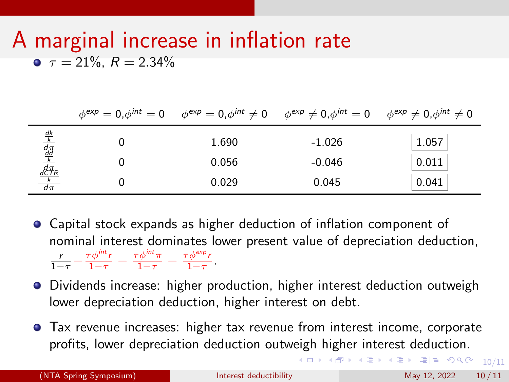#### A marginal increase in inflation rate  $\bullet \ \tau = 21\%$ ,  $R = 2.34\%$

|                                                                                                                                   | $\phi^{\text{exp}} = 0$ , $\phi^{\text{int}} = 0$ $\phi^{\text{exp}} = 0$ , $\phi^{\text{int}} \neq 0$ $\phi^{\text{exp}} \neq 0$ , $\phi^{\text{int}} = 0$ $\phi^{\text{exp}} \neq 0$ , $\phi^{\text{int}} \neq 0$ |          |       |
|-----------------------------------------------------------------------------------------------------------------------------------|---------------------------------------------------------------------------------------------------------------------------------------------------------------------------------------------------------------------|----------|-------|
| $\begin{array}{c}\n\frac{dk}{k} \\ \frac{d\pi}{d\pi} \\ \frac{d\zeta}{k} \\ \frac{d\zeta}{k} \\ \frac{d\zeta}{d\pi}\n\end{array}$ | 1.690                                                                                                                                                                                                               | -1.026   | 1.057 |
|                                                                                                                                   | 0.056                                                                                                                                                                                                               | $-0.046$ | 0.011 |
|                                                                                                                                   | 0.029                                                                                                                                                                                                               | 0.045    | 0.041 |

- Capital stock expands as higher deduction of inflation component of nominal interest dominates lower present value of depreciation deduction,  $\frac{r}{1-\tau} - \frac{\tau \phi^{int} r}{1-\tau} = \frac{\tau \phi^{int} \pi}{1-\tau} = \frac{\tau \phi^{exp} r}{1-\tau}.$
- Dividends increase: higher production, higher interest deduction outweigh lower depreciation deduction, higher interest on debt.
- Tax revenue increases: higher tax revenue from interest income, corporate profits, lower depreciation deduction outweigh higher interest deduction.

10 H (伊) (홍) (홍) 홍보 990 10/11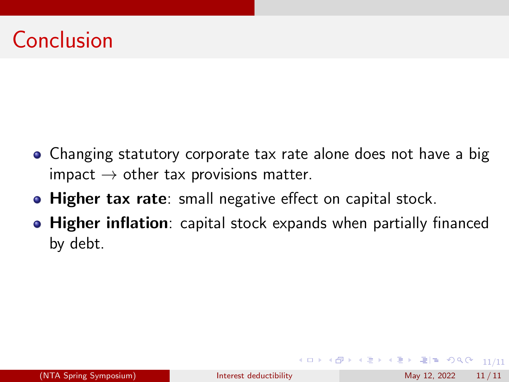# <span id="page-18-0"></span>Conclusion

- Changing statutory corporate tax rate alone does not have a big impact  $\rightarrow$  other tax provisions matter.
- **Higher tax rate:** small negative effect on capital stock.
- **Higher inflation**: capital stock expands when partially financed by debt.

K ロ K K @ K K ミ K K ミ K ミ 트 H H Y Q Q Y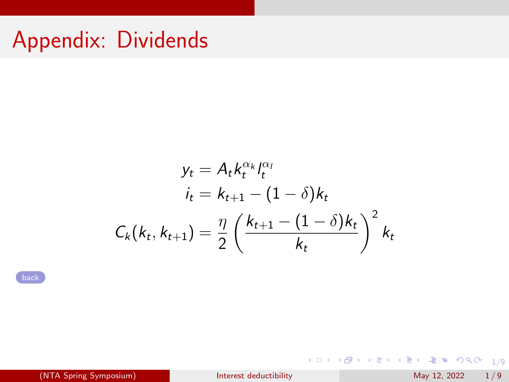# <span id="page-19-1"></span><span id="page-19-0"></span>Appendix: Dividends

$$
y_{t} = A_{t} k_{t}^{\alpha_{k}} I_{t}^{\alpha_{l}}
$$

$$
i_{t} = k_{t+1} - (1 - \delta) k_{t}
$$

$$
C_{k}(k_{t}, k_{t+1}) = \frac{\eta}{2} \left( \frac{k_{t+1} - (1 - \delta) k_{t}}{k_{t}} \right)^{2} k_{t}
$$

[back](#page-4-0)

(NTA Spring Symposium) **[Interest deductibility](#page-0-0)** May 12, 2022 1/9

K ロ ▶ K @ ▶ K 할 ▶ K 할 ▶ [콜] ≥ 10 Q Q Q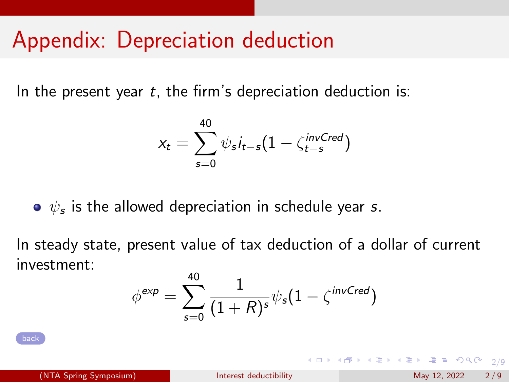# Appendix: Depreciation deduction

<span id="page-20-0"></span>In the present year  $t$ , the firm's depreciation deduction is:

$$
x_t = \sum_{s=0}^{40} \psi_s i_{t-s} (1 - \zeta_{t-s}^{\text{invCred}})
$$

 $\psi_\mathbf{s}$  is the allowed depreciation in schedule year  $\bm{s}.$ 

In steady state, present value of tax deduction of a dollar of current investment:

$$
\phi^{\text{exp}} = \sum_{s=0}^{40} \frac{1}{(1+R)^s} \psi_s (1 - \zeta^{\text{invCred}})
$$

[back](#page-5-0)

K ロ ▶ K 個 ▶ K ヨ ▶ K ヨ ▶ (ヨ)도 19 Q @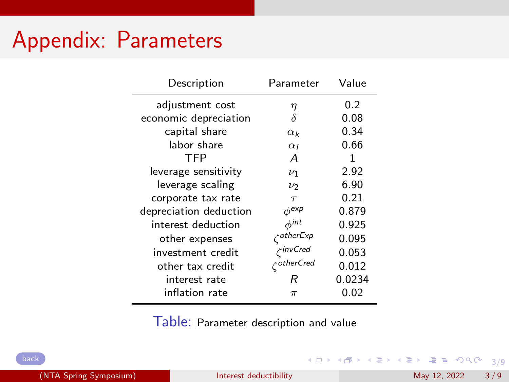# <span id="page-21-0"></span>Appendix: Parameters

L,

| Description            | Parameter        | Value  |
|------------------------|------------------|--------|
| adjustment cost        | $\eta$           | 0.2    |
| economic depreciation  | δ                | 0.08   |
| capital share          | $\alpha_k$       | 0.34   |
| labor share            | $\alpha$         | 0.66   |
| <b>TFP</b>             | А                | 1.     |
| leverage sensitivity   | $\nu_1$          | 2.92   |
| leverage scaling       | $\nu_2$          | 6.90   |
| corporate tax rate     | $\tau$           | 0.21   |
| depreciation deduction | $\phi^{\sf exp}$ | 0.879  |
| interest deduction     | $\phi$ int       | 0.925  |
| other expenses         | ∗otherExp        | 0.095  |
| investment credit      | invCred-         | 0.053  |
| other tax credit       | ≻otherCred       | 0.012  |
| interest rate          | R                | 0.0234 |
| inflation rate         | $\pi$            | 0.02   |

Table: Parameter description and value



K ロ ▶ K @ ▶ K 할 ▶ K 할 ▶ [ 할 게 이익어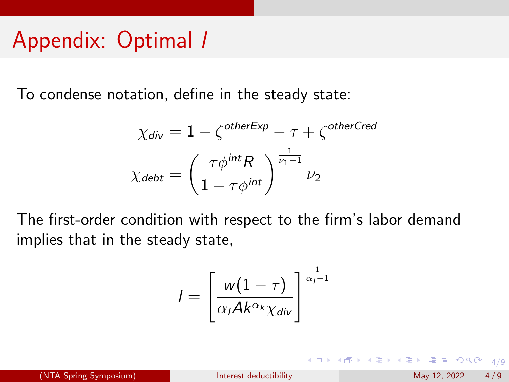# Appendix: Optimal /

<span id="page-22-0"></span>To condense notation, define in the steady state:

$$
\chi_{div} = 1 - \zeta^{otherExp} - \tau + \zeta^{otherCred}
$$

$$
\chi_{debt} = \left(\frac{\tau \phi^{int} R}{1 - \tau \phi^{int}}\right)^{\frac{1}{\nu_1 - 1}} \nu_2
$$

The first-order condition with respect to the firm's labor demand implies that in the steady state,

$$
I = \left[\frac{w(1-\tau)}{\alpha_l Ak^{\alpha_k}\chi_{div}}\right]^{\frac{1}{\alpha_l-1}}
$$

(NTA Spring Symposium) **[Interest deductibility](#page-0-0)** May 12, 2022 4/9

K ロ ▶ K 個 ▶ K ヨ ▶ K ヨ ▶ (ヨ)도 19 Q @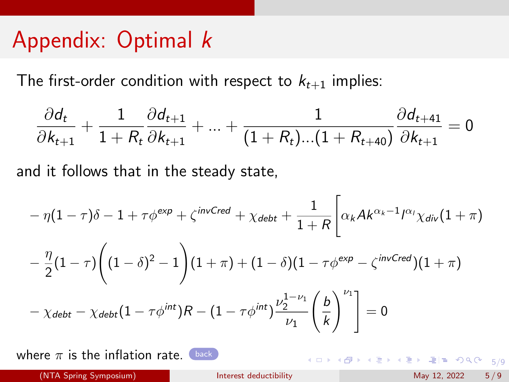# Appendix: Optimal k

The first-order condition with respect to  $k_{t+1}$  implies:

$$
\frac{\partial d_t}{\partial k_{t+1}} + \frac{1}{1+R_t} \frac{\partial d_{t+1}}{\partial k_{t+1}} + ... + \frac{1}{(1+R_t)...(1+R_{t+40})} \frac{\partial d_{t+41}}{\partial k_{t+1}} = 0
$$

and it follows that in the steady state,

$$
- \eta (1-\tau)\delta - 1 + \tau \phi^{\text{exp}} + \zeta^{\text{invCred}} + \chi_{\text{debt}} + \frac{1}{1+R} \left[ \alpha_k A k^{\alpha_k - 1} \gamma^{\alpha_j} \chi_{\text{div}} (1+\pi) - \frac{\eta}{2} (1-\tau) \left( (1-\delta)^2 - 1 \right) (1+\pi) + (1-\delta)(1-\tau \phi^{\text{exp}} - \zeta^{\text{invCred}}) (1+\pi) - \chi_{\text{debt}} - \chi_{\text{debt}} (1-\tau \phi^{\text{int}}) R - (1-\tau \phi^{\text{int}}) \frac{\nu_2^{1-\nu_1}}{\nu_1} \left( \frac{b}{k} \right)^{\nu_1} \right] = 0
$$

where  $\pi$  is the inflation rate.  $\left($  [back](#page-8-1)

(NTA Spring Symposium) **[Interest deductibility](#page-0-0)** May 12, 2022 5/9

K ロ ▶ K 優 ▶ K 결 ▶ K 결 ▶ ( 결) 및 10 A Q Q O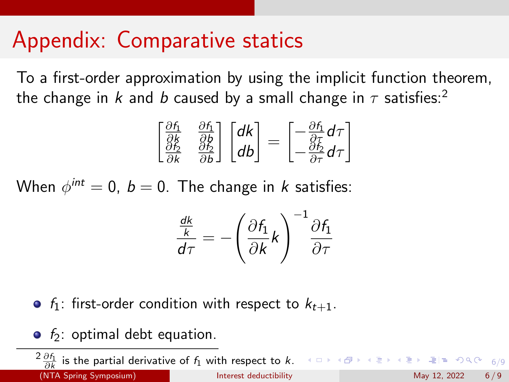<span id="page-24-0"></span>To a first-order approximation by using the implicit function theorem, the change in k and b caused by a small change in  $\tau$  satisfies:<sup>2</sup>

$$
\begin{bmatrix}\n\frac{\partial f_1}{\partial k} & \frac{\partial f_1}{\partial b} \\
\frac{\partial f_2}{\partial k} & \frac{\partial f_2}{\partial b}\n\end{bmatrix}\n\begin{bmatrix}\ndk \\
db\n\end{bmatrix} = \begin{bmatrix}\n-\frac{\partial f_1}{\partial \tau} d\tau \\
-\frac{\partial f_2}{\partial \tau} d\tau\n\end{bmatrix}
$$

When  $\phi^\mathit{int} = 0,~b = 0.$  The change in  $k$  satisfies:

$$
\frac{\frac{dk}{k}}{d\tau} = -\left(\frac{\partial f_1}{\partial k}k\right)^{-1} \frac{\partial f_1}{\partial \tau}
$$

- $f_1$ : first-order condition with respect to  $k_{t+1}$ .
- $\bullet$  f<sub>2</sub>: optimal debt equation.

 $\frac{2 \frac{\partial f_1}{\partial k}}{k}$  is the partial derivative of  $f_1$  with respect to  $k$ . 4 ロ ▶ 4 伊  $E|E$   $\Omega$ 6/9 (NTA Spring Symposium) and [Interest deductibility](#page-0-0) May 12, 2022 6/9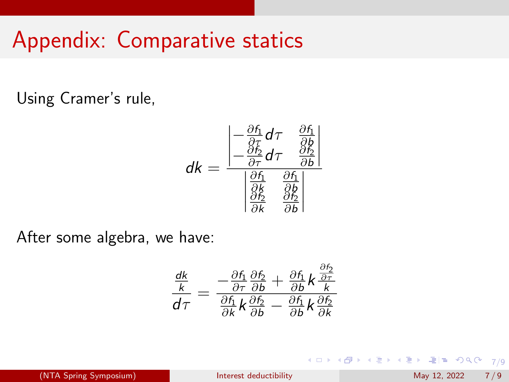Using Cramer's rule,

$$
dk = \frac{\begin{vmatrix} -\frac{\partial f_1}{\partial \tau_2} d\tau & \frac{\partial f_1}{\partial b} \\ -\frac{\partial f_2}{\partial \tau} d\tau & \frac{\partial f_2}{\partial b} \end{vmatrix}}{\begin{vmatrix} \frac{\partial f_1}{\partial k} & \frac{\partial f_1}{\partial b} \\ \frac{\partial f_2}{\partial k} & \frac{\partial f_2}{\partial b} \end{vmatrix}}
$$

After some algebra, we have:

$$
\frac{\frac{dk}{k}}{d\tau} = \frac{-\frac{\partial f_1}{\partial \tau} \frac{\partial f_2}{\partial b} + \frac{\partial f_1}{\partial b} k \frac{\frac{\partial f_2}{\partial \tau}}{k}}{\frac{\partial f_1}{\partial k} k \frac{\partial f_2}{\partial b} - \frac{\partial f_1}{\partial b} k \frac{\partial f_2}{\partial k}}
$$

(NTA Spring Symposium) **[Interest deductibility](#page-0-0)** May 12, 2022 7/9

K ロ ▶ K @ ▶ K 혼 ▶ K 혼 ▶ [혼] ≥ 19 0 0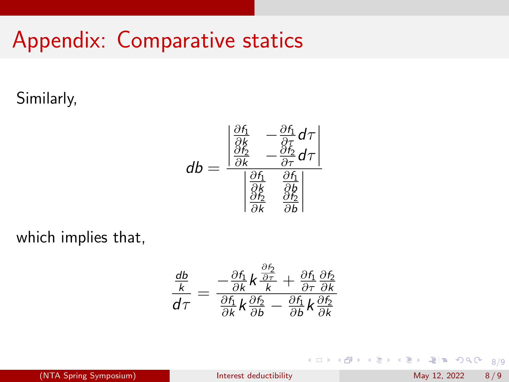Similarly,

$$
db = \frac{\begin{vmatrix} \frac{\partial f_1}{\partial k} & -\frac{\partial f_1}{\partial \tau} d\tau \\ \frac{\partial f_2}{\partial k} & -\frac{\partial f_2}{\partial \tau} d\tau \end{vmatrix}}{\begin{vmatrix} \frac{\partial f_1}{\partial k} & \frac{\partial f_1}{\partial k} \\ \frac{\partial f_2}{\partial k} & \frac{\partial f_2}{\partial k} \end{vmatrix}}
$$

which implies that,

$$
\frac{\frac{db}{k}}{d\tau} = \frac{-\frac{\partial f_1}{\partial k}k\frac{\frac{\partial f_2}{\partial \tau}}{k} + \frac{\partial f_1}{\partial \tau}\frac{\partial f_2}{\partial k}}{\frac{\partial f_1}{\partial k}k\frac{\partial f_2}{\partial b} - \frac{\partial f_1}{\partial b}k\frac{\partial f_2}{\partial k}}
$$

(NTA Spring Symposium) [Interest deductibility](#page-0-0) May 12, 2022 8/9

イロト (個) (電) (電) (電) 電 車 のんぐ